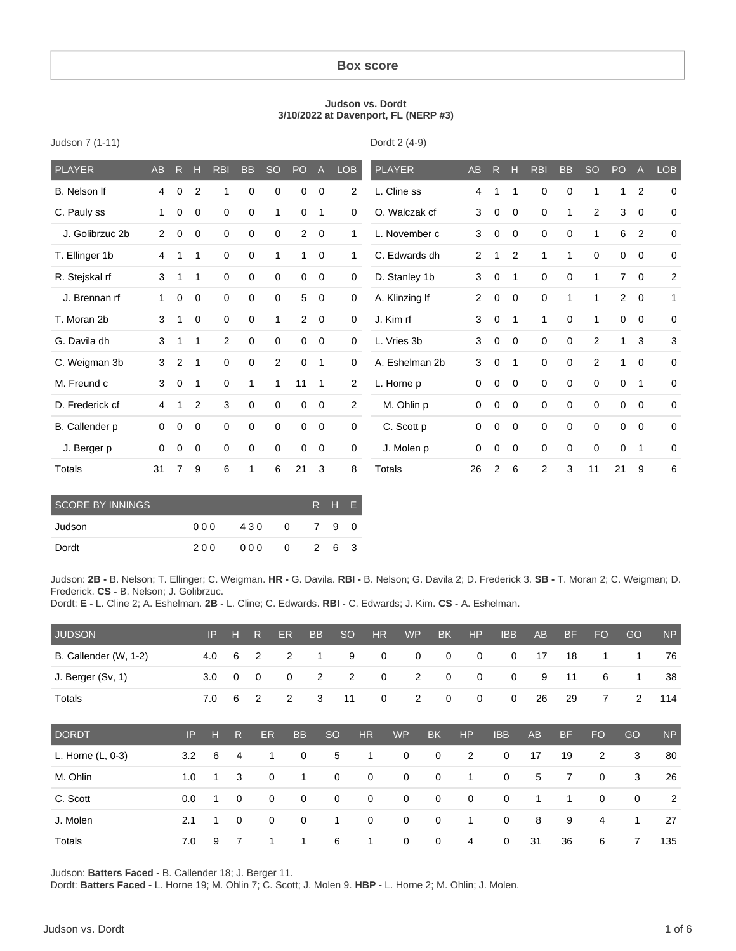#### **Box score**

#### **Judson vs. Dordt 3/10/2022 at Davenport, FL (NERP #3)**

Dordt 2 (4-9)

| <b>PLAYER</b>   | <b>AB</b>      | $\mathsf{R}$   | Н              | <b>RBI</b>     | <b>BB</b>   | <b>SO</b>    | PO             | $\overline{A}$ | LOB         | <b>PLAYER</b>  | AB             | R              | н              | <b>RBI</b>  | <b>BB</b>   | <b>SO</b>      | PO             | $\mathsf{A}$ | <b>LOB</b>  |
|-----------------|----------------|----------------|----------------|----------------|-------------|--------------|----------------|----------------|-------------|----------------|----------------|----------------|----------------|-------------|-------------|----------------|----------------|--------------|-------------|
| B. Nelson If    | 4              | 0              | $\overline{2}$ | 1              | 0           | $\Omega$     | $\Omega$       | 0              | 2           | L. Cline ss    | 4              | 1              | 1              | $\mathbf 0$ | $\mathbf 0$ | 1              | 1              | 2            | $\Omega$    |
| C. Pauly ss     | 1.             | $\mathbf 0$    | $\mathbf 0$    | $\mathbf 0$    | $\mathbf 0$ | $\mathbf{1}$ | $\mathbf 0$    | 1              | $\mathbf 0$ | O. Walczak cf  | 3              | 0              | $\mathbf 0$    | $\mathbf 0$ | 1           | $\overline{2}$ | 3              | $\mathbf 0$  | $\mathbf 0$ |
| J. Golibrzuc 2b | $\overline{2}$ | 0              | $\mathbf 0$    | $\mathbf 0$    | $\mathbf 0$ | 0            | $\overline{2}$ | $\mathbf 0$    | 1           | L. November c  | 3              | 0              | $\mathbf 0$    | $\mathbf 0$ | $\mathbf 0$ | $\mathbf{1}$   | 6              | 2            | $\mathbf 0$ |
| T. Ellinger 1b  | 4              | 1              | 1              | $\mathbf 0$    | $\mathbf 0$ | 1            | 1              | $\mathbf 0$    | 1           | C. Edwards dh  | $\overline{2}$ | 1              | 2              | 1           | 1           | $\mathbf 0$    | $\mathbf 0$    | $\mathbf 0$  | $\mathbf 0$ |
| R. Stejskal rf  | 3              | 1              | 1              | $\mathbf 0$    | $\mathbf 0$ | $\mathbf 0$  | $\mathbf 0$    | $\overline{0}$ | $\mathbf 0$ | D. Stanley 1b  | 3              | 0              | $\mathbf 1$    | $\mathbf 0$ | $\mathbf 0$ | $\mathbf{1}$   | $\overline{7}$ | $\mathbf 0$  | 2           |
| J. Brennan rf   | 1.             | 0              | 0              | $\mathbf 0$    | $\mathbf 0$ | 0            | 5              | $\mathbf 0$    | $\mathbf 0$ | A. Klinzing If | 2              | 0              | $\mathbf 0$    | 0           | 1           | $\mathbf{1}$   | $\overline{2}$ | $\mathbf 0$  | 1           |
| T. Moran 2b     | 3              | 1              | $\mathbf 0$    | $\mathbf 0$    | $\mathbf 0$ | 1            | 2              | $\mathbf 0$    | $\mathbf 0$ | J. Kim rf      | 3              | 0              | $\mathbf{1}$   | 1           | 0           | 1              | $\mathbf 0$    | $\mathbf 0$  | $\mathbf 0$ |
| G. Davila dh    | 3              | 1              | 1              | $\overline{2}$ | $\mathbf 0$ | $\mathbf 0$  | $\Omega$       | $\overline{0}$ | $\mathbf 0$ | L. Vries 3b    | 3              | 0              | $\Omega$       | $\mathbf 0$ | $\mathbf 0$ | 2              | 1              | 3            | 3           |
| C. Weigman 3b   | 3              | 2              | 1              | $\Omega$       | 0           | 2            | $\Omega$       | $\mathbf{1}$   | $\Omega$    | A. Eshelman 2b | 3              | 0              | $\overline{1}$ | $\mathbf 0$ | 0           | 2              | 1              | $\Omega$     | $\mathbf 0$ |
| M. Freund c     | 3              | 0              | 1              | 0              | 1           | $\mathbf{1}$ | 11             | 1              | 2           | L. Horne p     | 0              | 0              | $\mathbf 0$    | $\mathbf 0$ | $\mathbf 0$ | $\mathbf 0$    | 0              | $\mathbf{1}$ | $\mathbf 0$ |
| D. Frederick cf | 4              | 1              | 2              | 3              | $\mathbf 0$ | 0            | $\mathbf 0$    | $\overline{0}$ | 2           | M. Ohlin p     | 0              | 0              | $\mathbf 0$    | $\mathbf 0$ | $\mathbf 0$ | $\mathbf 0$    | $\mathbf 0$    | $\mathbf 0$  | $\mathbf 0$ |
| B. Callender p  | $\Omega$       | 0              | $\mathbf 0$    | $\mathbf 0$    | 0           | 0            | 0              | $\mathbf 0$    | $\mathbf 0$ | C. Scott p     | 0              | 0              | 0              | $\mathbf 0$ | $\mathbf 0$ | $\mathbf 0$    | $\mathbf 0$    | $\Omega$     | $\mathbf 0$ |
| J. Berger p     | 0              | 0              | 0              | $\mathbf 0$    | 0           | 0            | 0              | $\overline{0}$ | $\mathbf 0$ | J. Molen p     | 0              | 0              | 0              | $\mathbf 0$ | $\mathbf 0$ | $\mathbf 0$    | $\mathbf 0$    | $\mathbf 1$  | $\mathbf 0$ |
| Totals          | 31             | $\overline{7}$ | 9              | 6              | 1           | 6            | 21             | 3              | 8           | Totals         | 26             | $\overline{2}$ | 6              | 2           | 3           | 11             | 21             | 9            | 6           |

| <b>SCORE BY INNINGS</b> |     |     |   | R H E |     |
|-------------------------|-----|-----|---|-------|-----|
| Judson                  | 000 | 430 | 0 | 79    | - 0 |
| Dordt                   | 200 | 000 | 0 | 26    | - 3 |

Judson: **2B -** B. Nelson; T. Ellinger; C. Weigman. **HR -** G. Davila. **RBI -** B. Nelson; G. Davila 2; D. Frederick 3. **SB -** T. Moran 2; C. Weigman; D. Frederick. **CS -** B. Nelson; J. Golibrzuc.

Dordt: **E -** L. Cline 2; A. Eshelman. **2B -** L. Cline; C. Edwards. **RBI -** C. Edwards; J. Kim. **CS -** A. Eshelman.

| <b>JUDSON</b>         |     | IP  | н            | $\mathsf{R}$ | ER          | <b>BB</b>      | <sub>SO</sub> | <b>HR</b>   |           | <b>WP</b>      | <b>BK</b>   | HP          | <b>IBB</b>  | <b>AB</b> | <b>BF</b> | <b>FO</b>      | GO          | <b>NP</b> |
|-----------------------|-----|-----|--------------|--------------|-------------|----------------|---------------|-------------|-----------|----------------|-------------|-------------|-------------|-----------|-----------|----------------|-------------|-----------|
| B. Callender (W, 1-2) |     | 4.0 | 6            | 2            | 2           |                | 9             | 0           |           | 0              | 0           | 0           | 0           | 17        | 18        | 1              | 1           | 76        |
| J. Berger (Sv, 1)     |     | 3.0 | $\mathbf 0$  | 0            | 0           | $\overline{2}$ | 2             | 0           |           | $\overline{2}$ | 0           | $\mathbf 0$ | $\mathbf 0$ | 9         | 11        | 6              | 1           | 38        |
| Totals                |     | 7.0 | 6            | 2            | 2           | 3              | 11            | 0           |           | $\overline{2}$ | 0           | 0           | 0           | 26        | 29        | $\overline{7}$ | 2           | 114       |
| <b>DORDT</b>          | IP  | н   | $\mathsf{R}$ | ER           | <b>BB</b>   |                | <b>SO</b>     | <b>HR</b>   | <b>WP</b> |                | <b>BK</b>   | <b>HP</b>   | <b>IBB</b>  | AB        | <b>BF</b> | <b>FO</b>      | GO          | <b>NP</b> |
| L. Horne (L, 0-3)     | 3.2 | 6   | 4            | 1            | $\mathbf 0$ |                | 5             | 1           | 0         |                | $\mathbf 0$ | 2           | 0           | 17        | 19        | 2              | 3           | 80        |
| M. Ohlin              | 1.0 | 1   | 3            | $\mathbf 0$  | 1           |                | $\mathbf 0$   | 0           | 0         |                | $\mathbf 0$ | 1           | 0           | 5         | 7         | 0              | 3           | 26        |
| C. Scott              | 0.0 | 1   | $\mathbf{0}$ | $\mathbf 0$  | $\mathbf 0$ |                | $\mathbf 0$   | $\mathbf 0$ | 0         |                | $\mathbf 0$ | $\mathbf 0$ | 0           | 1         | 1         | $\mathbf 0$    | $\mathbf 0$ | 2         |
| J. Molen              | 2.1 | 1   | 0            | 0            | 0           |                | $\mathbf 1$   | 0           | 0         |                | $\mathbf 0$ | 1           | 0           | 8         | 9         | $\overline{4}$ | 1           | 27        |
| Totals                | 7.0 | 9   | 7            | 1            | 1           |                | 6             | 1           | 0         |                | $\mathbf 0$ | 4           | 0           | 31        | 36        | 6              | 7           | 135       |

Judson: **Batters Faced -** B. Callender 18; J. Berger 11.

Dordt: **Batters Faced -** L. Horne 19; M. Ohlin 7; C. Scott; J. Molen 9. **HBP -** L. Horne 2; M. Ohlin; J. Molen.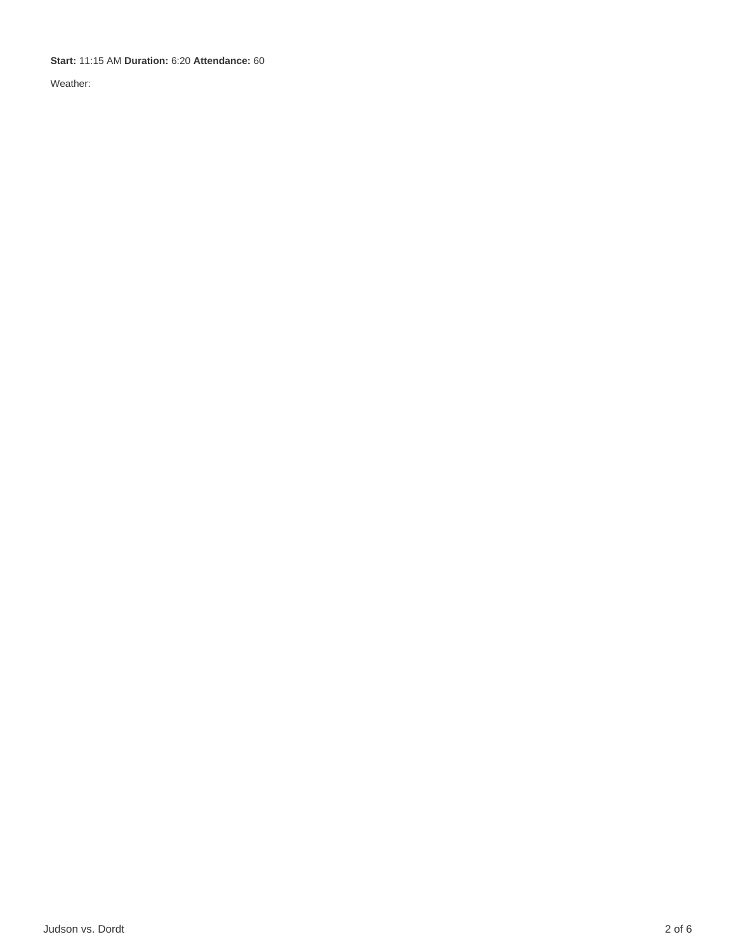#### **Start:** 11:15 AM **Duration:** 6:20 **Attendance:** 60

Weather: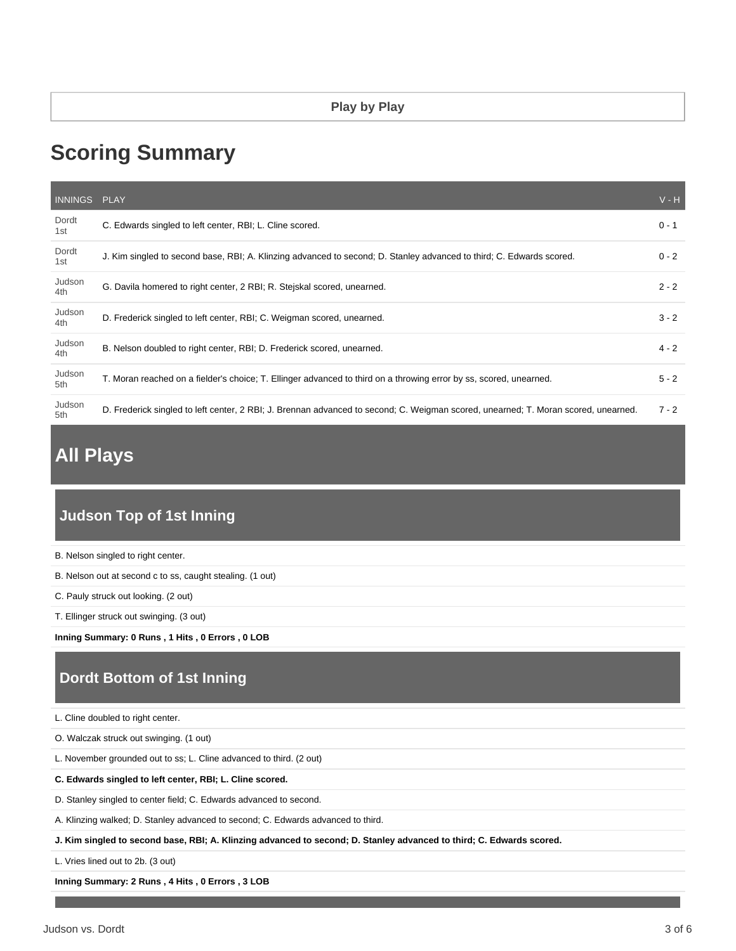# **Scoring Summary**

| INNINGS PLAY  |                                                                                                                                    | $V - H$ |
|---------------|------------------------------------------------------------------------------------------------------------------------------------|---------|
| Dordt<br>1st  | C. Edwards singled to left center, RBI; L. Cline scored.                                                                           | $0 - 1$ |
| Dordt<br>1st  | J. Kim singled to second base, RBI; A. Klinzing advanced to second; D. Stanley advanced to third; C. Edwards scored.               | $0 - 2$ |
| Judson<br>4th | G. Davila homered to right center, 2 RBI; R. Stejskal scored, unearned.                                                            | $2 - 2$ |
| Judson<br>4th | D. Frederick singled to left center, RBI; C. Weigman scored, unearned.                                                             | $3 - 2$ |
| Judson<br>4th | B. Nelson doubled to right center, RBI; D. Frederick scored, unearned.                                                             | $4 - 2$ |
| Judson<br>5th | T. Moran reached on a fielder's choice; T. Ellinger advanced to third on a throwing error by ss, scored, unearned.                 | $5 - 2$ |
| Judson<br>5th | D. Frederick singled to left center, 2 RBI; J. Brennan advanced to second; C. Weigman scored, unearned; T. Moran scored, unearned. | $7 - 2$ |

## **All Plays**

### **Judson Top of 1st Inning**

| B. Nelson singled to right center.                        |  |
|-----------------------------------------------------------|--|
| B. Nelson out at second c to ss, caught stealing. (1 out) |  |
| C. Pauly struck out looking. (2 out)                      |  |
| T. Ellinger struck out swinging. (3 out)                  |  |
| Inning Summary: 0 Runs, 1 Hits, 0 Errors, 0 LOB           |  |
| Dordt Bottom of 1st Inning                                |  |
|                                                           |  |
| L. Cline doubled to right center.                         |  |

L. November grounded out to ss; L. Cline advanced to third. (2 out)

**C. Edwards singled to left center, RBI; L. Cline scored.**

D. Stanley singled to center field; C. Edwards advanced to second.

A. Klinzing walked; D. Stanley advanced to second; C. Edwards advanced to third.

**J. Kim singled to second base, RBI; A. Klinzing advanced to second; D. Stanley advanced to third; C. Edwards scored.**

L. Vries lined out to 2b. (3 out)

**Inning Summary: 2 Runs , 4 Hits , 0 Errors , 3 LOB**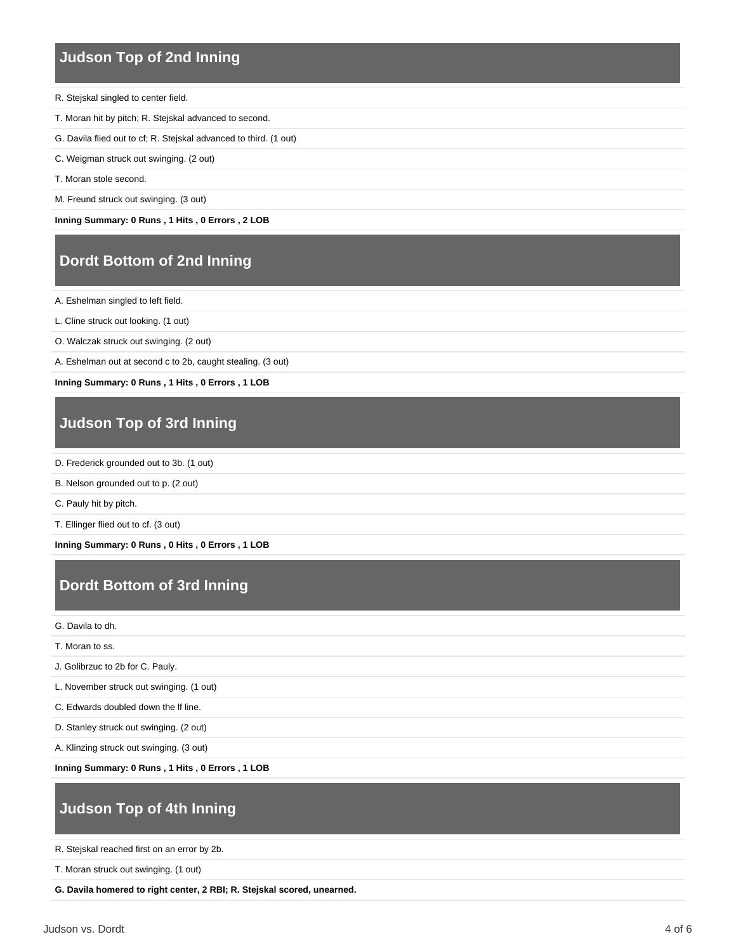#### **Judson Top of 2nd Inning**

- R. Stejskal singled to center field.
- T. Moran hit by pitch; R. Stejskal advanced to second.
- G. Davila flied out to cf; R. Stejskal advanced to third. (1 out)
- C. Weigman struck out swinging. (2 out)
- T. Moran stole second.
- M. Freund struck out swinging. (3 out)

**Inning Summary: 0 Runs , 1 Hits , 0 Errors , 2 LOB**

#### **Dordt Bottom of 2nd Inning**

A. Eshelman singled to left field.

- L. Cline struck out looking. (1 out)
- O. Walczak struck out swinging. (2 out)

A. Eshelman out at second c to 2b, caught stealing. (3 out)

**Inning Summary: 0 Runs , 1 Hits , 0 Errors , 1 LOB**

### **Judson Top of 3rd Inning**

- D. Frederick grounded out to 3b. (1 out)
- B. Nelson grounded out to p. (2 out)

C. Pauly hit by pitch.

T. Ellinger flied out to cf. (3 out)

**Inning Summary: 0 Runs , 0 Hits , 0 Errors , 1 LOB**

### **Dordt Bottom of 3rd Inning**

G. Davila to dh.

T. Moran to ss.

J. Golibrzuc to 2b for C. Pauly.

L. November struck out swinging. (1 out)

C. Edwards doubled down the lf line.

D. Stanley struck out swinging. (2 out)

A. Klinzing struck out swinging. (3 out)

**Inning Summary: 0 Runs , 1 Hits , 0 Errors , 1 LOB**

### **Judson Top of 4th Inning**

R. Stejskal reached first on an error by 2b.

T. Moran struck out swinging. (1 out)

**G. Davila homered to right center, 2 RBI; R. Stejskal scored, unearned.**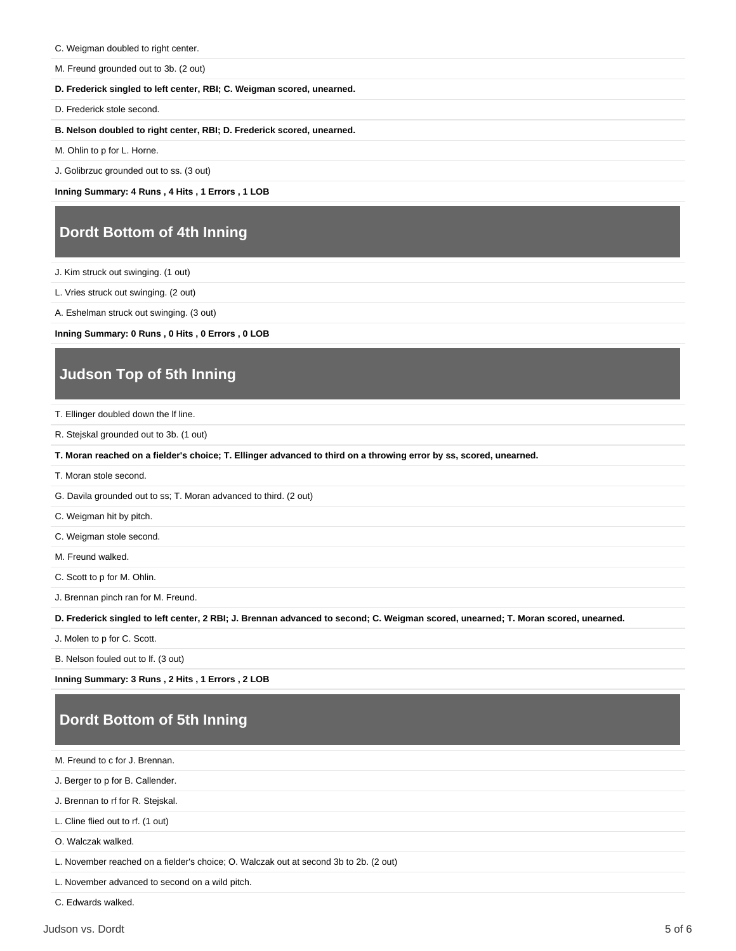- C. Weigman doubled to right center.
- M. Freund grounded out to 3b. (2 out)

#### **D. Frederick singled to left center, RBI; C. Weigman scored, unearned.**

D. Frederick stole second.

#### **B. Nelson doubled to right center, RBI; D. Frederick scored, unearned.**

M. Ohlin to p for L. Horne.

J. Golibrzuc grounded out to ss. (3 out)

**Inning Summary: 4 Runs , 4 Hits , 1 Errors , 1 LOB**

#### **Dordt Bottom of 4th Inning**

J. Kim struck out swinging. (1 out)

L. Vries struck out swinging. (2 out)

A. Eshelman struck out swinging. (3 out)

**Inning Summary: 0 Runs , 0 Hits , 0 Errors , 0 LOB**

#### **Judson Top of 5th Inning**

T. Ellinger doubled down the lf line.

R. Stejskal grounded out to 3b. (1 out)

**T. Moran reached on a fielder's choice; T. Ellinger advanced to third on a throwing error by ss, scored, unearned.**

T. Moran stole second.

G. Davila grounded out to ss; T. Moran advanced to third. (2 out)

C. Weigman hit by pitch.

C. Weigman stole second.

M. Freund walked.

C. Scott to p for M. Ohlin.

J. Brennan pinch ran for M. Freund.

**D. Frederick singled to left center, 2 RBI; J. Brennan advanced to second; C. Weigman scored, unearned; T. Moran scored, unearned.**

J. Molen to p for C. Scott.

B. Nelson fouled out to lf. (3 out)

**Inning Summary: 3 Runs , 2 Hits , 1 Errors , 2 LOB**

### **Dordt Bottom of 5th Inning**

M. Freund to c for J. Brennan.

J. Berger to p for B. Callender.

J. Brennan to rf for R. Stejskal.

L. Cline flied out to rf. (1 out)

O. Walczak walked.

L. November reached on a fielder's choice; O. Walczak out at second 3b to 2b. (2 out)

L. November advanced to second on a wild pitch.

C. Edwards walked.